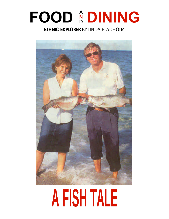### **FOOD & DINING N D**

## **ETHNIC EXPLORER** BY LINDA BLADHOLM



# **A FISH TALE**